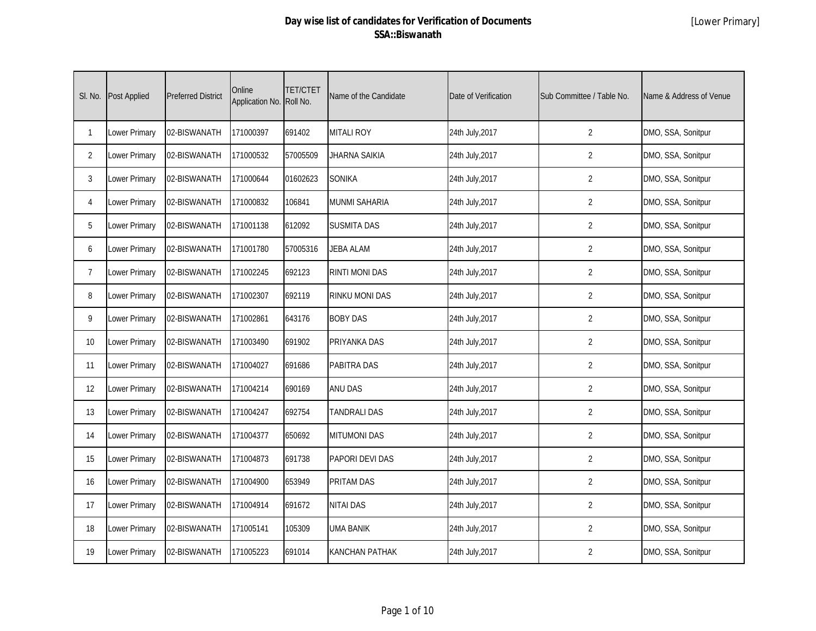| SI. No.        | <b>Post Applied</b> | <b>Preferred District</b> | Online<br>Application No. Roll No. | <b>TET/CTET</b> | Name of the Candidate  | Date of Verification | Sub Committee / Table No. | Name & Address of Venue |
|----------------|---------------------|---------------------------|------------------------------------|-----------------|------------------------|----------------------|---------------------------|-------------------------|
| $\mathbf{1}$   | Lower Primary       | 02-BISWANATH              | 171000397                          | 691402          | <b>MITALI ROY</b>      | 24th July, 2017      | $\overline{2}$            | DMO, SSA, Sonitpur      |
| $\overline{2}$ | Lower Primary       | 02-BISWANATH              | 171000532                          | 57005509        | <b>JHARNA SAIKIA</b>   | 24th July, 2017      | $\overline{2}$            | DMO, SSA, Sonitpur      |
| 3              | Lower Primary       | 02-BISWANATH              | 171000644                          | 01602623        | <b>SONIKA</b>          | 24th July, 2017      | $\overline{2}$            | DMO, SSA, Sonitpur      |
| 4              | Lower Primary       | 02-BISWANATH              | 171000832                          | 106841          | <b>MUNMI SAHARIA</b>   | 24th July, 2017      | $\overline{2}$            | DMO, SSA, Sonitpur      |
| 5              | Lower Primary       | 02-BISWANATH              | 171001138                          | 612092          | <b>SUSMITA DAS</b>     | 24th July, 2017      | $\overline{2}$            | DMO, SSA, Sonitpur      |
| 6              | Lower Primary       | 02-BISWANATH              | 171001780                          | 57005316        | <b>JEBA ALAM</b>       | 24th July, 2017      | $\overline{2}$            | DMO, SSA, Sonitpur      |
| $\overline{7}$ | Lower Primary       | 02-BISWANATH              | 171002245                          | 692123          | <b>RINTI MONI DAS</b>  | 24th July, 2017      | 2                         | DMO, SSA, Sonitpur      |
| 8              | Lower Primary       | 02-BISWANATH              | 171002307                          | 692119          | <b>RINKU MONI DAS</b>  | 24th July, 2017      | $\overline{2}$            | DMO, SSA, Sonitpur      |
| 9              | Lower Primary       | 02-BISWANATH              | 171002861                          | 643176          | <b>BOBY DAS</b>        | 24th July, 2017      | 2                         | DMO, SSA, Sonitpur      |
| 10             | Lower Primary       | 02-BISWANATH              | 171003490                          | 691902          | PRIYANKA DAS           | 24th July, 2017      | $\overline{2}$            | DMO, SSA, Sonitpur      |
| 11             | Lower Primary       | 02-BISWANATH              | 171004027                          | 691686          | <b>PABITRA DAS</b>     | 24th July, 2017      | $\overline{2}$            | DMO, SSA, Sonitpur      |
| 12             | Lower Primary       | 02-BISWANATH              | 171004214                          | 690169          | <b>ANU DAS</b>         | 24th July, 2017      | $\overline{2}$            | DMO, SSA, Sonitpur      |
| 13             | Lower Primary       | 02-BISWANATH              | 171004247                          | 692754          | <b>TANDRALI DAS</b>    | 24th July, 2017      | $\overline{2}$            | DMO, SSA, Sonitpur      |
| 14             | Lower Primary       | 02-BISWANATH              | 171004377                          | 650692          | <b>MITUMONI DAS</b>    | 24th July, 2017      | 2                         | DMO, SSA, Sonitpur      |
| 15             | Lower Primary       | 02-BISWANATH              | 171004873                          | 691738          | <b>PAPORI DEVI DAS</b> | 24th July, 2017      | $\overline{2}$            | DMO, SSA, Sonitpur      |
| 16             | Lower Primary       | 02-BISWANATH              | 171004900                          | 653949          | <b>PRITAM DAS</b>      | 24th July, 2017      | $\overline{2}$            | DMO, SSA, Sonitpur      |
| 17             | Lower Primary       | 02-BISWANATH              | 171004914                          | 691672          | <b>NITAI DAS</b>       | 24th July, 2017      | $\overline{2}$            | DMO, SSA, Sonitpur      |
| 18             | Lower Primary       | 02-BISWANATH              | 171005141                          | 105309          | <b>UMA BANIK</b>       | 24th July, 2017      | $\overline{2}$            | DMO, SSA, Sonitpur      |
| 19             | Lower Primary       | 02-BISWANATH              | 171005223                          | 691014          | <b>KANCHAN PATHAK</b>  | 24th July, 2017      | $\overline{2}$            | DMO, SSA, Sonitpur      |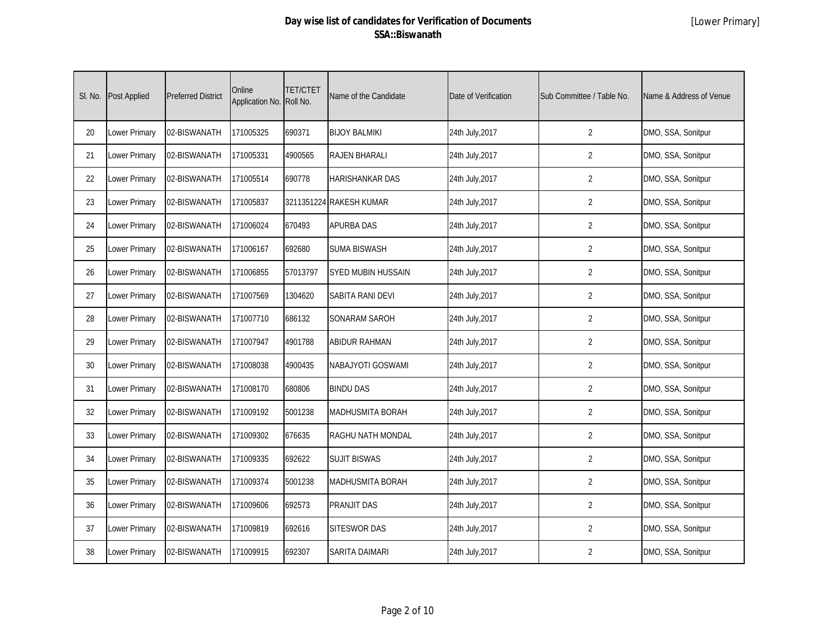| SI. No. | <b>Post Applied</b> | <b>Preferred District</b> | Online<br>Application No. Roll No. | <b>TET/CTET</b> | Name of the Candidate     | Date of Verification | Sub Committee / Table No. | Name & Address of Venue |
|---------|---------------------|---------------------------|------------------------------------|-----------------|---------------------------|----------------------|---------------------------|-------------------------|
| 20      | Lower Primary       | 02-BISWANATH              | 171005325                          | 690371          | <b>BIJOY BALMIKI</b>      | 24th July, 2017      | $\overline{2}$            | DMO, SSA, Sonitpur      |
| 21      | Lower Primary       | 02-BISWANATH              | 171005331                          | 4900565         | <b>RAJEN BHARALI</b>      | 24th July, 2017      | $\overline{2}$            | DMO, SSA, Sonitpur      |
| 22      | Lower Primary       | 02-BISWANATH              | 171005514                          | 690778          | <b>HARISHANKAR DAS</b>    | 24th July, 2017      | $\overline{2}$            | DMO, SSA, Sonitpur      |
| 23      | Lower Primary       | 02-BISWANATH              | 171005837                          |                 | 3211351224 RAKESH KUMAR   | 24th July, 2017      | $\overline{2}$            | DMO, SSA, Sonitpur      |
| 24      | Lower Primary       | 02-BISWANATH              | 171006024                          | 670493          | <b>APURBA DAS</b>         | 24th July, 2017      | $\overline{2}$            | DMO, SSA, Sonitpur      |
| 25      | Lower Primary       | 02-BISWANATH              | 171006167                          | 692680          | <b>SUMA BISWASH</b>       | 24th July, 2017      | $\overline{2}$            | DMO, SSA, Sonitpur      |
| 26      | Lower Primary       | 02-BISWANATH              | 171006855                          | 57013797        | <b>SYED MUBIN HUSSAIN</b> | 24th July, 2017      | $\overline{2}$            | DMO, SSA, Sonitpur      |
| 27      | Lower Primary       | 02-BISWANATH              | 171007569                          | 1304620         | SABITA RANI DEVI          | 24th July, 2017      | 2                         | DMO, SSA, Sonitpur      |
| 28      | Lower Primary       | 02-BISWANATH              | 171007710                          | 686132          | <b>SONARAM SAROH</b>      | 24th July, 2017      | $\overline{2}$            | DMO, SSA, Sonitpur      |
| 29      | Lower Primary       | 02-BISWANATH              | 171007947                          | 4901788         | <b>ABIDUR RAHMAN</b>      | 24th July, 2017      | 2                         | DMO, SSA, Sonitpur      |
| 30      | Lower Primary       | 02-BISWANATH              | 171008038                          | 4900435         | NABAJYOTI GOSWAMI         | 24th July, 2017      | $\overline{2}$            | DMO, SSA, Sonitpur      |
| 31      | Lower Primary       | 02-BISWANATH              | 171008170                          | 680806          | <b>BINDU DAS</b>          | 24th July, 2017      | $\overline{2}$            | DMO, SSA, Sonitpur      |
| 32      | Lower Primary       | 02-BISWANATH              | 171009192                          | 5001238         | <b>MADHUSMITA BORAH</b>   | 24th July, 2017      | $\overline{2}$            | DMO, SSA, Sonitpur      |
| 33      | Lower Primary       | 02-BISWANATH              | 171009302                          | 676635          | RAGHU NATH MONDAL         | 24th July, 2017      | $\overline{2}$            | DMO, SSA, Sonitpur      |
| 34      | Lower Primary       | 02-BISWANATH              | 171009335                          | 692622          | <b>SUJIT BISWAS</b>       | 24th July, 2017      | $\overline{2}$            | DMO, SSA, Sonitpur      |
| 35      | Lower Primary       | 02-BISWANATH              | 171009374                          | 5001238         | <b>MADHUSMITA BORAH</b>   | 24th July, 2017      | $\overline{2}$            | DMO, SSA, Sonitpur      |
| 36      | Lower Primary       | 02-BISWANATH              | 171009606                          | 692573          | PRANJIT DAS               | 24th July, 2017      | $\overline{2}$            | DMO, SSA, Sonitpur      |
| 37      | Lower Primary       | 02-BISWANATH              | 171009819                          | 692616          | <b>SITESWOR DAS</b>       | 24th July, 2017      | 2                         | DMO, SSA, Sonitpur      |
| 38      | Lower Primary       | 02-BISWANATH              | 171009915                          | 692307          | SARITA DAIMARI            | 24th July, 2017      | $\overline{2}$            | DMO, SSA, Sonitpur      |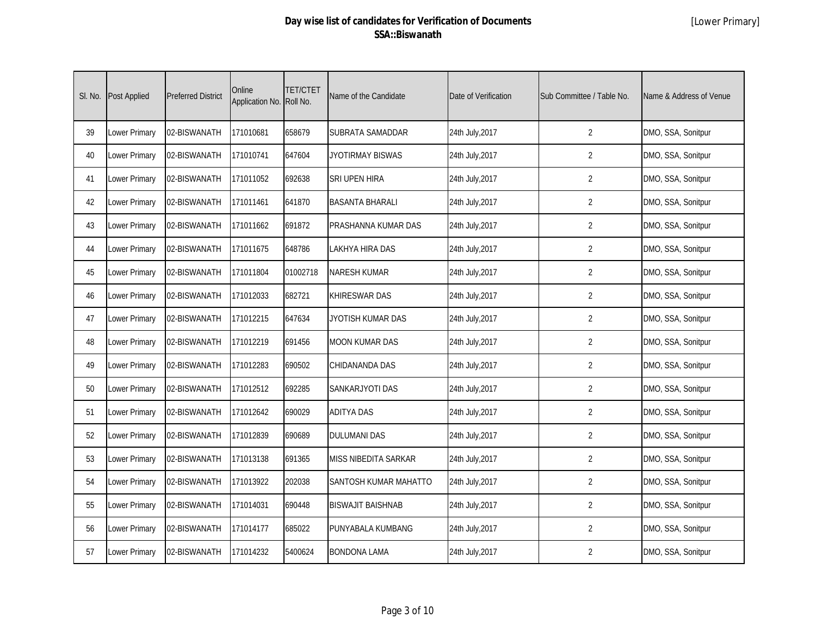| SI. No. | Post Applied  | <b>Preferred District</b> | Online<br>Application No. | <b>TET/CTET</b><br>Roll No. | Name of the Candidate    | Date of Verification | Sub Committee / Table No. | Name & Address of Venue |
|---------|---------------|---------------------------|---------------------------|-----------------------------|--------------------------|----------------------|---------------------------|-------------------------|
| 39      | Lower Primary | 02-BISWANATH              | 171010681                 | 658679                      | SUBRATA SAMADDAR         | 24th July, 2017      | $\overline{2}$            | DMO, SSA, Sonitpur      |
| 40      | Lower Primary | 02-BISWANATH              | 171010741                 | 647604                      | <b>JYOTIRMAY BISWAS</b>  | 24th July, 2017      | $\overline{2}$            | DMO, SSA, Sonitpur      |
| 41      | Lower Primary | 02-BISWANATH              | 171011052                 | 692638                      | <b>SRI UPEN HIRA</b>     | 24th July, 2017      | $\overline{2}$            | DMO, SSA, Sonitpur      |
| 42      | Lower Primary | 02-BISWANATH              | 171011461                 | 641870                      | <b>BASANTA BHARALI</b>   | 24th July, 2017      | $\overline{2}$            | DMO, SSA, Sonitpur      |
| 43      | Lower Primary | 02-BISWANATH              | 171011662                 | 691872                      | PRASHANNA KUMAR DAS      | 24th July, 2017      | $\overline{2}$            | DMO, SSA, Sonitpur      |
| 44      | Lower Primary | 02-BISWANATH              | 171011675                 | 648786                      | LAKHYA HIRA DAS          | 24th July, 2017      | $\overline{2}$            | DMO, SSA, Sonitpur      |
| 45      | Lower Primary | 02-BISWANATH              | 171011804                 | 01002718                    | <b>NARESH KUMAR</b>      | 24th July, 2017      | $\overline{2}$            | DMO, SSA, Sonitpur      |
| 46      | Lower Primary | 02-BISWANATH              | 171012033                 | 682721                      | <b>KHIRESWAR DAS</b>     | 24th July, 2017      | 2                         | DMO, SSA, Sonitpur      |
| 47      | Lower Primary | 02-BISWANATH              | 171012215                 | 647634                      | JYOTISH KUMAR DAS        | 24th July, 2017      | 2                         | DMO, SSA, Sonitpur      |
| 48      | Lower Primary | 02-BISWANATH              | 171012219                 | 691456                      | <b>MOON KUMAR DAS</b>    | 24th July, 2017      | 2                         | DMO, SSA, Sonitpur      |
| 49      | Lower Primary | 02-BISWANATH              | 171012283                 | 690502                      | CHIDANANDA DAS           | 24th July, 2017      | $\overline{2}$            | DMO, SSA, Sonitpur      |
| 50      | Lower Primary | 02-BISWANATH              | 171012512                 | 692285                      | <b>SANKARJYOTI DAS</b>   | 24th July, 2017      | $\overline{2}$            | DMO, SSA, Sonitpur      |
| 51      | Lower Primary | 02-BISWANATH              | 171012642                 | 690029                      | <b>ADITYA DAS</b>        | 24th July, 2017      | $\overline{2}$            | DMO, SSA, Sonitpur      |
| 52      | Lower Primary | 02-BISWANATH              | 171012839                 | 690689                      | <b>DULUMANI DAS</b>      | 24th July, 2017      | $\overline{2}$            | DMO, SSA, Sonitpur      |
| 53      | Lower Primary | 02-BISWANATH              | 171013138                 | 691365                      | MISS NIBEDITA SARKAR     | 24th July, 2017      | $\overline{2}$            | DMO, SSA, Sonitpur      |
| 54      | Lower Primary | 02-BISWANATH              | 171013922                 | 202038                      | SANTOSH KUMAR MAHATTO    | 24th July, 2017      | $\overline{2}$            | DMO, SSA, Sonitpur      |
| 55      | Lower Primary | 02-BISWANATH              | 171014031                 | 690448                      | <b>BISWAJIT BAISHNAB</b> | 24th July, 2017      | $\overline{2}$            | DMO, SSA, Sonitpur      |
| 56      | Lower Primary | 02-BISWANATH              | 171014177                 | 685022                      | PUNYABALA KUMBANG        | 24th July, 2017      | $\overline{2}$            | DMO, SSA, Sonitpur      |
| 57      | Lower Primary | 02-BISWANATH              | 171014232                 | 5400624                     | <b>BONDONA LAMA</b>      | 24th July, 2017      | $\overline{2}$            | DMO, SSA, Sonitpur      |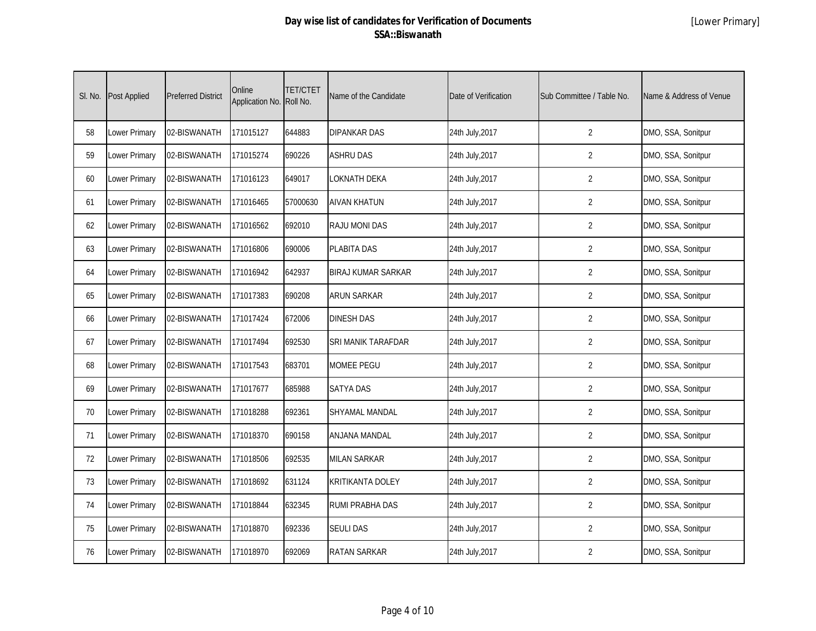| SI. No. | <b>Post Applied</b> | <b>Preferred District</b> | Online<br>Application No. Roll No. | <b>TET/CTET</b> | Name of the Candidate     | Date of Verification | Sub Committee / Table No. | Name & Address of Venue |
|---------|---------------------|---------------------------|------------------------------------|-----------------|---------------------------|----------------------|---------------------------|-------------------------|
| 58      | Lower Primary       | 02-BISWANATH              | 171015127                          | 644883          | <b>DIPANKAR DAS</b>       | 24th July, 2017      | $\overline{2}$            | DMO, SSA, Sonitpur      |
| 59      | Lower Primary       | 02-BISWANATH              | 171015274                          | 690226          | <b>ASHRU DAS</b>          | 24th July, 2017      | $\overline{2}$            | DMO, SSA, Sonitpur      |
| 60      | Lower Primary       | 02-BISWANATH              | 171016123                          | 649017          | <b>LOKNATH DEKA</b>       | 24th July, 2017      | $\overline{2}$            | DMO, SSA, Sonitpur      |
| 61      | Lower Primary       | 02-BISWANATH              | 171016465                          | 57000630        | <b>AIVAN KHATUN</b>       | 24th July, 2017      | $\overline{2}$            | DMO, SSA, Sonitpur      |
| 62      | Lower Primary       | 02-BISWANATH              | 171016562                          | 692010          | <b>RAJU MONI DAS</b>      | 24th July, 2017      | $\overline{2}$            | DMO, SSA, Sonitpur      |
| 63      | Lower Primary       | 02-BISWANATH              | 171016806                          | 690006          | <b>PLABITA DAS</b>        | 24th July, 2017      | $\overline{2}$            | DMO, SSA, Sonitpur      |
| 64      | Lower Primary       | 02-BISWANATH              | 171016942                          | 642937          | <b>BIRAJ KUMAR SARKAR</b> | 24th July, 2017      | $\overline{2}$            | DMO, SSA, Sonitpur      |
| 65      | Lower Primary       | 02-BISWANATH              | 171017383                          | 690208          | <b>ARUN SARKAR</b>        | 24th July, 2017      | 2                         | DMO, SSA, Sonitpur      |
| 66      | Lower Primary       | 02-BISWANATH              | 171017424                          | 672006          | <b>DINESH DAS</b>         | 24th July, 2017      | $\overline{2}$            | DMO, SSA, Sonitpur      |
| 67      | Lower Primary       | 02-BISWANATH              | 171017494                          | 692530          | SRI MANIK TARAFDAR        | 24th July, 2017      | 2                         | DMO, SSA, Sonitpur      |
| 68      | Lower Primary       | 02-BISWANATH              | 171017543                          | 683701          | <b>MOMEE PEGU</b>         | 24th July, 2017      | $\overline{2}$            | DMO, SSA, Sonitpur      |
| 69      | Lower Primary       | 02-BISWANATH              | 171017677                          | 685988          | <b>SATYA DAS</b>          | 24th July, 2017      | $\overline{2}$            | DMO, SSA, Sonitpur      |
| 70      | Lower Primary       | 02-BISWANATH              | 171018288                          | 692361          | <b>SHYAMAL MANDAL</b>     | 24th July, 2017      | $\overline{2}$            | DMO, SSA, Sonitpur      |
| 71      | Lower Primary       | 02-BISWANATH              | 171018370                          | 690158          | ANJANA MANDAL             | 24th July, 2017      | $\overline{2}$            | DMO, SSA, Sonitpur      |
| 72      | Lower Primary       | 02-BISWANATH              | 171018506                          | 692535          | <b>MILAN SARKAR</b>       | 24th July, 2017      | $\overline{2}$            | DMO, SSA, Sonitpur      |
| 73      | Lower Primary       | 02-BISWANATH              | 171018692                          | 631124          | <b>KRITIKANTA DOLEY</b>   | 24th July, 2017      | $\overline{2}$            | DMO, SSA, Sonitpur      |
| 74      | Lower Primary       | 02-BISWANATH              | 171018844                          | 632345          | RUMI PRABHA DAS           | 24th July, 2017      | $\overline{2}$            | DMO, SSA, Sonitpur      |
| 75      | Lower Primary       | 02-BISWANATH              | 171018870                          | 692336          | <b>SEULI DAS</b>          | 24th July, 2017      | 2                         | DMO, SSA, Sonitpur      |
| 76      | Lower Primary       | 02-BISWANATH              | 171018970                          | 692069          | <b>RATAN SARKAR</b>       | 24th July, 2017      | $\overline{2}$            | DMO, SSA, Sonitpur      |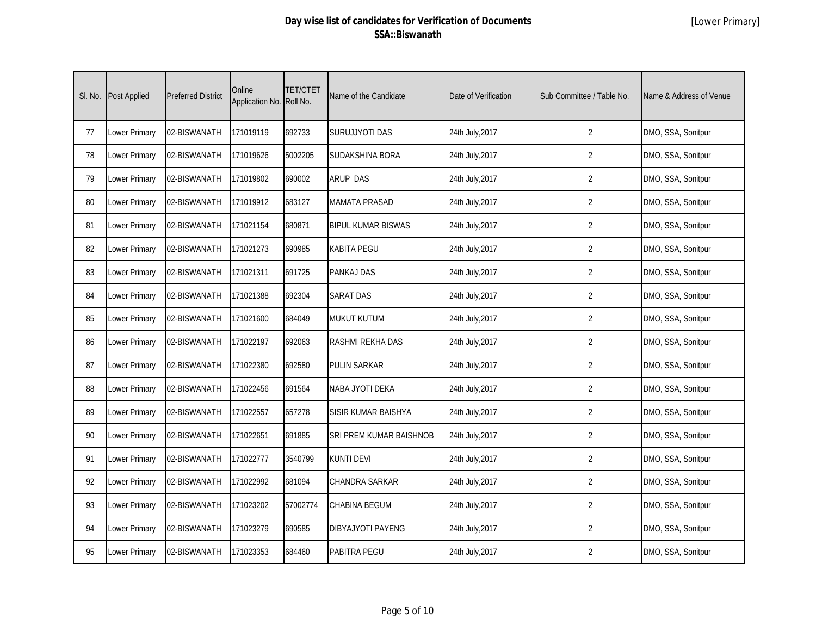| SI. No. | <b>Post Applied</b> | <b>Preferred District</b> | Online<br>Application No. Roll No. | <b>TET/CTET</b> | Name of the Candidate     | Date of Verification | Sub Committee / Table No. | Name & Address of Venue |
|---------|---------------------|---------------------------|------------------------------------|-----------------|---------------------------|----------------------|---------------------------|-------------------------|
| 77      | Lower Primary       | 02-BISWANATH              | 171019119                          | 692733          | SURUJJYOTI DAS            | 24th July, 2017      | $\overline{2}$            | DMO, SSA, Sonitpur      |
| 78      | Lower Primary       | 02-BISWANATH              | 171019626                          | 5002205         | SUDAKSHINA BORA           | 24th July, 2017      | $\overline{2}$            | DMO, SSA, Sonitpur      |
| 79      | Lower Primary       | 02-BISWANATH              | 171019802                          | 690002          | <b>ARUP DAS</b>           | 24th July, 2017      | $\overline{2}$            | DMO, SSA, Sonitpur      |
| 80      | Lower Primary       | 02-BISWANATH              | 171019912                          | 683127          | <b>MAMATA PRASAD</b>      | 24th July, 2017      | $\overline{2}$            | DMO, SSA, Sonitpur      |
| 81      | Lower Primary       | 02-BISWANATH              | 171021154                          | 680871          | <b>BIPUL KUMAR BISWAS</b> | 24th July, 2017      | $\overline{2}$            | DMO, SSA, Sonitpur      |
| 82      | Lower Primary       | 02-BISWANATH              | 171021273                          | 690985          | <b>KABITA PEGU</b>        | 24th July, 2017      | $\overline{2}$            | DMO, SSA, Sonitpur      |
| 83      | Lower Primary       | 02-BISWANATH              | 171021311                          | 691725          | <b>PANKAJ DAS</b>         | 24th July, 2017      | $\overline{2}$            | DMO, SSA, Sonitpur      |
| 84      | Lower Primary       | 02-BISWANATH              | 171021388                          | 692304          | <b>SARAT DAS</b>          | 24th July, 2017      | $\overline{2}$            | DMO, SSA, Sonitpur      |
| 85      | Lower Primary       | 02-BISWANATH              | 171021600                          | 684049          | <b>MUKUT KUTUM</b>        | 24th July, 2017      | $\overline{2}$            | DMO, SSA, Sonitpur      |
| 86      | Lower Primary       | 02-BISWANATH              | 171022197                          | 692063          | RASHMI REKHA DAS          | 24th July, 2017      | $\overline{2}$            | DMO, SSA, Sonitpur      |
| 87      | Lower Primary       | 02-BISWANATH              | 171022380                          | 692580          | <b>PULIN SARKAR</b>       | 24th July, 2017      | $\overline{2}$            | DMO, SSA, Sonitpur      |
| 88      | Lower Primary       | 02-BISWANATH              | 171022456                          | 691564          | NABA JYOTI DEKA           | 24th July, 2017      | $\overline{2}$            | DMO, SSA, Sonitpur      |
| 89      | Lower Primary       | 02-BISWANATH              | 171022557                          | 657278          | SISIR KUMAR BAISHYA       | 24th July, 2017      | $\overline{2}$            | DMO, SSA, Sonitpur      |
| 90      | Lower Primary       | 02-BISWANATH              | 171022651                          | 691885          | SRI PREM KUMAR BAISHNOB   | 24th July, 2017      | $\overline{2}$            | DMO, SSA, Sonitpur      |
| 91      | Lower Primary       | 02-BISWANATH              | 171022777                          | 3540799         | <b>KUNTI DEVI</b>         | 24th July, 2017      | $\overline{2}$            | DMO, SSA, Sonitpur      |
| 92      | Lower Primary       | 02-BISWANATH              | 171022992                          | 681094          | <b>CHANDRA SARKAR</b>     | 24th July, 2017      | $\overline{2}$            | DMO, SSA, Sonitpur      |
| 93      | Lower Primary       | 02-BISWANATH              | 171023202                          | 57002774        | <b>CHABINA BEGUM</b>      | 24th July, 2017      | $\overline{2}$            | DMO, SSA, Sonitpur      |
| 94      | Lower Primary       | 02-BISWANATH              | 171023279                          | 690585          | <b>DIBYAJYOTI PAYENG</b>  | 24th July, 2017      | $\overline{2}$            | DMO, SSA, Sonitpur      |
| 95      | Lower Primary       | 02-BISWANATH              | 171023353                          | 684460          | PABITRA PEGU              | 24th July, 2017      | $\overline{2}$            | DMO, SSA, Sonitpur      |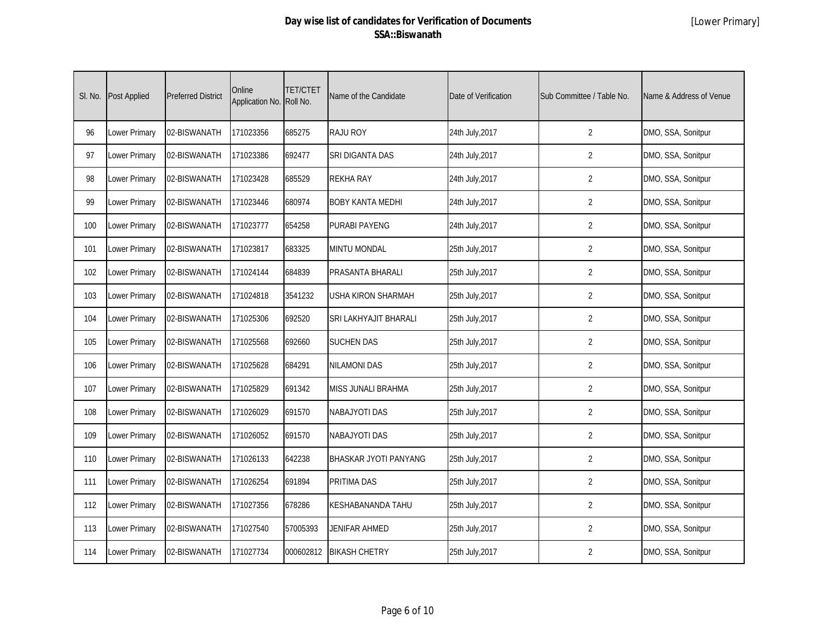| SI. No. | <b>Post Applied</b> | <b>Preferred District</b> | Online<br>Application No. | <b>TET/CTET</b><br>Roll No. | Name of the Candidate   | Date of Verification | Sub Committee / Table No. | Name & Address of Venue |
|---------|---------------------|---------------------------|---------------------------|-----------------------------|-------------------------|----------------------|---------------------------|-------------------------|
| 96      | Lower Primary       | 02-BISWANATH              | 171023356                 | 685275                      | <b>RAJU ROY</b>         | 24th July, 2017      | $\overline{2}$            | DMO, SSA, Sonitpur      |
| 97      | Lower Primary       | 02-BISWANATH              | 171023386                 | 692477                      | SRI DIGANTA DAS         | 24th July, 2017      | $\overline{2}$            | DMO, SSA, Sonitpur      |
| 98      | Lower Primary       | 02-BISWANATH              | 171023428                 | 685529                      | <b>REKHA RAY</b>        | 24th July, 2017      | $\overline{2}$            | DMO, SSA, Sonitpur      |
| 99      | Lower Primary       | 02-BISWANATH              | 171023446                 | 680974                      | <b>BOBY KANTA MEDHI</b> | 24th July, 2017      | $\overline{2}$            | DMO, SSA, Sonitpur      |
| 100     | Lower Primary       | 02-BISWANATH              | 171023777                 | 654258                      | <b>PURABI PAYENG</b>    | 24th July, 2017      | $\overline{2}$            | DMO, SSA, Sonitpur      |
| 101     | Lower Primary       | 02-BISWANATH              | 171023817                 | 683325                      | MINTU MONDAL            | 25th July, 2017      | $\overline{2}$            | DMO, SSA, Sonitpur      |
| 102     | Lower Primary       | 02-BISWANATH              | 171024144                 | 684839                      | PRASANTA BHARALI        | 25th July, 2017      | $\overline{2}$            | DMO, SSA, Sonitpur      |
| 103     | Lower Primary       | 02-BISWANATH              | 171024818                 | 3541232                     | USHA KIRON SHARMAH      | 25th July, 2017      | $\overline{2}$            | DMO, SSA, Sonitpur      |
| 104     | Lower Primary       | 02-BISWANATH              | 171025306                 | 692520                      | SRI LAKHYAJIT BHARALI   | 25th July, 2017      | $\overline{2}$            | DMO, SSA, Sonitpur      |
| 105     | Lower Primary       | 02-BISWANATH              | 171025568                 | 692660                      | <b>SUCHEN DAS</b>       | 25th July, 2017      | $\overline{2}$            | DMO, SSA, Sonitpur      |
| 106     | Lower Primary       | 02-BISWANATH              | 171025628                 | 684291                      | <b>NILAMONI DAS</b>     | 25th July, 2017      | $\overline{2}$            | DMO, SSA, Sonitpur      |
| 107     | Lower Primary       | 02-BISWANATH              | 171025829                 | 691342                      | MISS JUNALI BRAHMA      | 25th July, 2017      | $\overline{2}$            | DMO, SSA, Sonitpur      |
| 108     | Lower Primary       | 02-BISWANATH              | 171026029                 | 691570                      | <b>NABAJYOTI DAS</b>    | 25th July, 2017      | $\overline{2}$            | DMO, SSA, Sonitpur      |
| 109     | Lower Primary       | 02-BISWANATH              | 171026052                 | 691570                      | <b>NABAJYOTI DAS</b>    | 25th July, 2017      | $\overline{2}$            | DMO, SSA, Sonitpur      |
| 110     | Lower Primary       | 02-BISWANATH              | 171026133                 | 642238                      | BHASKAR JYOTI PANYANG   | 25th July, 2017      | $\overline{2}$            | DMO, SSA, Sonitpur      |
| 111     | Lower Primary       | 02-BISWANATH              | 171026254                 | 691894                      | PRITIMA DAS             | 25th July, 2017      | $\overline{2}$            | DMO, SSA, Sonitpur      |
| 112     | Lower Primary       | 02-BISWANATH              | 171027356                 | 678286                      | KESHABANANDA TAHU       | 25th July, 2017      | $\overline{2}$            | DMO, SSA, Sonitpur      |
| 113     | Lower Primary       | 02-BISWANATH              | 171027540                 | 57005393                    | JENIFAR AHMED           | 25th July, 2017      | $\overline{2}$            | DMO, SSA, Sonitpur      |
| 114     | Lower Primary       | 02-BISWANATH              | 171027734                 | 000602812                   | <b>BIKASH CHETRY</b>    | 25th July, 2017      | $\overline{2}$            | DMO, SSA, Sonitpur      |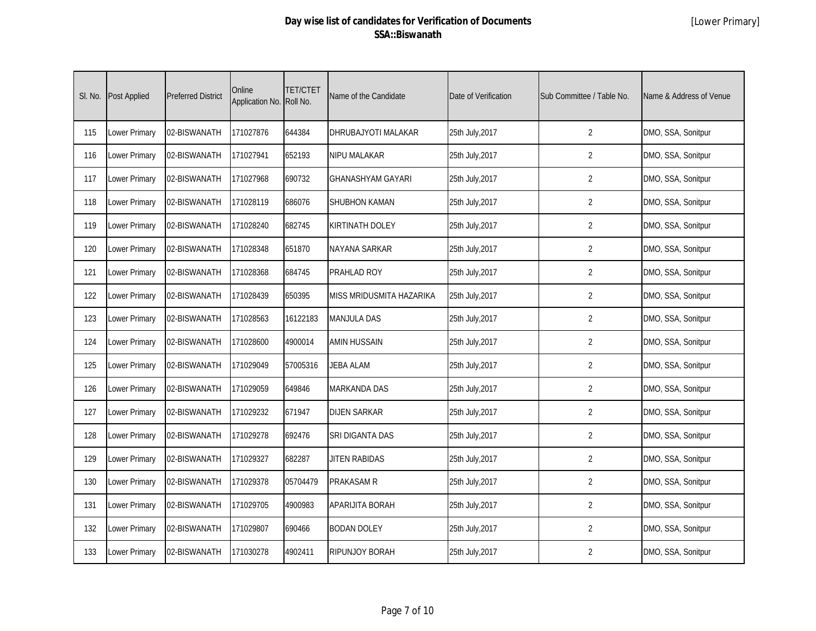| SI. No. | <b>Post Applied</b> | <b>Preferred District</b> | Online<br>Application No. | <b>TET/CTET</b><br>Roll No. | Name of the Candidate    | Date of Verification | Sub Committee / Table No. | Name & Address of Venue |
|---------|---------------------|---------------------------|---------------------------|-----------------------------|--------------------------|----------------------|---------------------------|-------------------------|
| 115     | Lower Primary       | 02-BISWANATH              | 171027876                 | 644384                      | DHRUBAJYOTI MALAKAR      | 25th July, 2017      | $\overline{2}$            | DMO, SSA, Sonitpur      |
| 116     | Lower Primary       | 02-BISWANATH              | 171027941                 | 652193                      | NIPU MALAKAR             | 25th July, 2017      | $\overline{2}$            | DMO, SSA, Sonitpur      |
| 117     | Lower Primary       | 02-BISWANATH              | 171027968                 | 690732                      | <b>GHANASHYAM GAYARI</b> | 25th July, 2017      | $\overline{2}$            | DMO, SSA, Sonitpur      |
| 118     | Lower Primary       | 02-BISWANATH              | 171028119                 | 686076                      | <b>SHUBHON KAMAN</b>     | 25th July, 2017      | $\overline{2}$            | DMO, SSA, Sonitpur      |
| 119     | Lower Primary       | 02-BISWANATH              | 171028240                 | 682745                      | KIRTINATH DOLEY          | 25th July, 2017      | $\overline{2}$            | DMO, SSA, Sonitpur      |
| 120     | Lower Primary       | 02-BISWANATH              | 171028348                 | 651870                      | NAYANA SARKAR            | 25th July, 2017      | $\overline{2}$            | DMO, SSA, Sonitpur      |
| 121     | Lower Primary       | 02-BISWANATH              | 171028368                 | 684745                      | PRAHLAD ROY              | 25th July, 2017      | $\overline{2}$            | DMO, SSA, Sonitpur      |
| 122     | Lower Primary       | 02-BISWANATH              | 171028439                 | 650395                      | MISS MRIDUSMITA HAZARIKA | 25th July, 2017      | $\overline{2}$            | DMO, SSA, Sonitpur      |
| 123     | Lower Primary       | 02-BISWANATH              | 171028563                 | 16122183                    | <b>MANJULA DAS</b>       | 25th July, 2017      | $\overline{2}$            | DMO, SSA, Sonitpur      |
| 124     | Lower Primary       | 02-BISWANATH              | 171028600                 | 4900014                     | AMIN HUSSAIN             | 25th July, 2017      | $\overline{2}$            | DMO, SSA, Sonitpur      |
| 125     | Lower Primary       | 02-BISWANATH              | 171029049                 | 57005316                    | <b>JEBA ALAM</b>         | 25th July, 2017      | $\overline{2}$            | DMO, SSA, Sonitpur      |
| 126     | Lower Primary       | 02-BISWANATH              | 171029059                 | 649846                      | <b>MARKANDA DAS</b>      | 25th July, 2017      | $\overline{2}$            | DMO, SSA, Sonitpur      |
| 127     | Lower Primary       | 02-BISWANATH              | 171029232                 | 671947                      | <b>DIJEN SARKAR</b>      | 25th July, 2017      | $\overline{2}$            | DMO, SSA, Sonitpur      |
| 128     | Lower Primary       | 02-BISWANATH              | 171029278                 | 692476                      | SRI DIGANTA DAS          | 25th July, 2017      | $\overline{2}$            | DMO, SSA, Sonitpur      |
| 129     | Lower Primary       | 02-BISWANATH              | 171029327                 | 682287                      | <b>JITEN RABIDAS</b>     | 25th July, 2017      | $\overline{2}$            | DMO, SSA, Sonitpur      |
| 130     | Lower Primary       | 02-BISWANATH              | 171029378                 | 05704479                    | PRAKASAM R               | 25th July, 2017      | $\overline{2}$            | DMO, SSA, Sonitpur      |
| 131     | Lower Primary       | 02-BISWANATH              | 171029705                 | 4900983                     | APARIJITA BORAH          | 25th July, 2017      | $\overline{2}$            | DMO, SSA, Sonitpur      |
| 132     | Lower Primary       | 02-BISWANATH              | 171029807                 | 690466                      | <b>BODAN DOLEY</b>       | 25th July, 2017      | $\overline{2}$            | DMO, SSA, Sonitpur      |
| 133     | Lower Primary       | 02-BISWANATH              | 171030278                 | 4902411                     | RIPUNJOY BORAH           | 25th July, 2017      | $\overline{2}$            | DMO, SSA, Sonitpur      |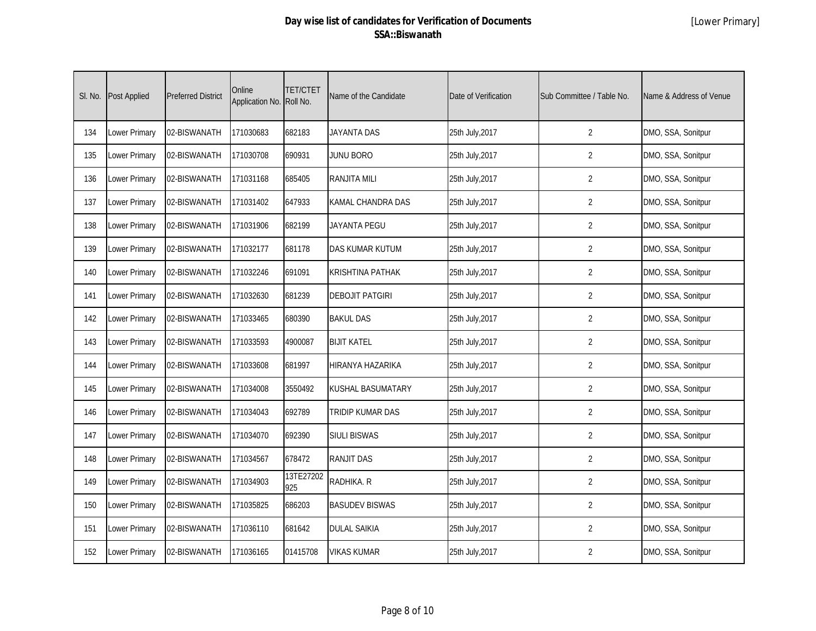| SI. No. | Post Applied  | <b>Preferred District</b> | Online<br>Application No. | <b>TET/CTET</b><br>Roll No. | Name of the Candidate   | Date of Verification | Sub Committee / Table No. | Name & Address of Venue |
|---------|---------------|---------------------------|---------------------------|-----------------------------|-------------------------|----------------------|---------------------------|-------------------------|
| 134     | Lower Primary | 02-BISWANATH              | 171030683                 | 682183                      | <b>JAYANTA DAS</b>      | 25th July, 2017      | $\overline{2}$            | DMO, SSA, Sonitpur      |
| 135     | Lower Primary | 02-BISWANATH              | 171030708                 | 690931                      | <b>JUNU BORO</b>        | 25th July, 2017      | $\overline{2}$            | DMO, SSA, Sonitpur      |
| 136     | Lower Primary | 02-BISWANATH              | 171031168                 | 685405                      | <b>RANJITA MILI</b>     | 25th July, 2017      | $\overline{2}$            | DMO, SSA, Sonitpur      |
| 137     | Lower Primary | 02-BISWANATH              | 171031402                 | 647933                      | KAMAL CHANDRA DAS       | 25th July, 2017      | $\overline{2}$            | DMO, SSA, Sonitpur      |
| 138     | Lower Primary | 02-BISWANATH              | 171031906                 | 682199                      | <b>JAYANTA PEGU</b>     | 25th July, 2017      | $\overline{2}$            | DMO, SSA, Sonitpur      |
| 139     | Lower Primary | 02-BISWANATH              | 171032177                 | 681178                      | DAS KUMAR KUTUM         | 25th July, 2017      | $\overline{2}$            | DMO, SSA, Sonitpur      |
| 140     | Lower Primary | 02-BISWANATH              | 171032246                 | 691091                      | <b>KRISHTINA PATHAK</b> | 25th July, 2017      | $\overline{2}$            | DMO, SSA, Sonitpur      |
| 141     | Lower Primary | 02-BISWANATH              | 171032630                 | 681239                      | <b>DEBOJIT PATGIRI</b>  | 25th July, 2017      | $\overline{2}$            | DMO, SSA, Sonitpur      |
| 142     | Lower Primary | 02-BISWANATH              | 171033465                 | 680390                      | <b>BAKUL DAS</b>        | 25th July, 2017      | $\overline{2}$            | DMO, SSA, Sonitpur      |
| 143     | Lower Primary | 02-BISWANATH              | 171033593                 | 4900087                     | <b>BIJIT KATEL</b>      | 25th July, 2017      | $\overline{2}$            | DMO, SSA, Sonitpur      |
| 144     | Lower Primary | 02-BISWANATH              | 171033608                 | 681997                      | HIRANYA HAZARIKA        | 25th July, 2017      | $\overline{2}$            | DMO, SSA, Sonitpur      |
| 145     | Lower Primary | 02-BISWANATH              | 171034008                 | 3550492                     | KUSHAL BASUMATARY       | 25th July, 2017      | $\overline{2}$            | DMO, SSA, Sonitpur      |
| 146     | Lower Primary | 02-BISWANATH              | 171034043                 | 692789                      | TRIDIP KUMAR DAS        | 25th July, 2017      | $\overline{2}$            | DMO, SSA, Sonitpur      |
| 147     | Lower Primary | 02-BISWANATH              | 171034070                 | 692390                      | <b>SIULI BISWAS</b>     | 25th July, 2017      | $\overline{2}$            | DMO, SSA, Sonitpur      |
| 148     | Lower Primary | 02-BISWANATH              | 171034567                 | 678472                      | <b>RANJIT DAS</b>       | 25th July, 2017      | $\overline{2}$            | DMO, SSA, Sonitpur      |
| 149     | Lower Primary | 02-BISWANATH              | 171034903                 | 13TE27202<br>925            | RADHIKA. R              | 25th July, 2017      | $\overline{2}$            | DMO, SSA, Sonitpur      |
| 150     | Lower Primary | 02-BISWANATH              | 171035825                 | 686203                      | <b>BASUDEV BISWAS</b>   | 25th July, 2017      | $\overline{2}$            | DMO, SSA, Sonitpur      |
| 151     | Lower Primary | 02-BISWANATH              | 171036110                 | 681642                      | <b>DULAL SAIKIA</b>     | 25th July, 2017      | $\overline{2}$            | DMO, SSA, Sonitpur      |
| 152     | Lower Primary | 02-BISWANATH              | 171036165                 | 01415708                    | <b>VIKAS KUMAR</b>      | 25th July, 2017      | $\overline{2}$            | DMO, SSA, Sonitpur      |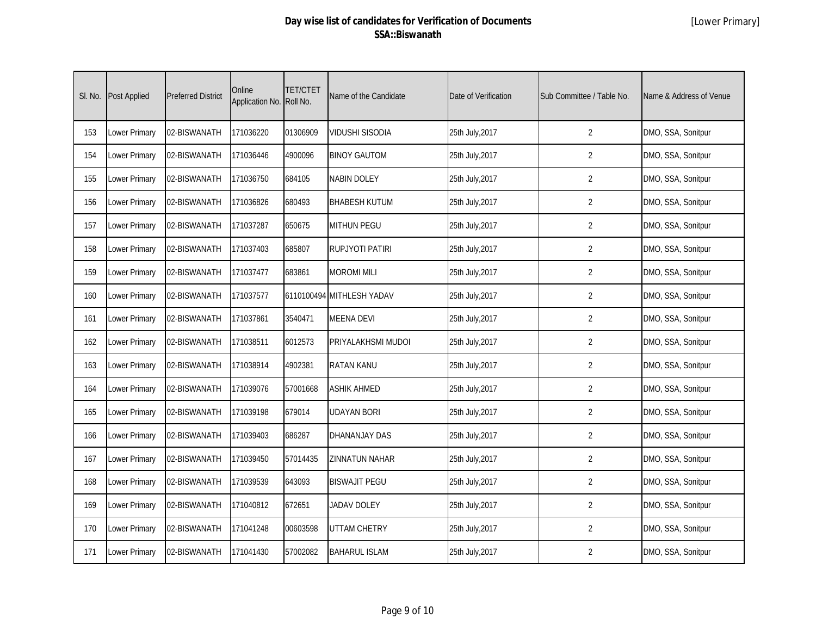| SI. No. | <b>Post Applied</b> | <b>Preferred District</b> | Online<br>Application No. | <b>TET/CTET</b><br>Roll No. | Name of the Candidate     | Date of Verification | Sub Committee / Table No. | Name & Address of Venue |
|---------|---------------------|---------------------------|---------------------------|-----------------------------|---------------------------|----------------------|---------------------------|-------------------------|
| 153     | Lower Primary       | 02-BISWANATH              | 171036220                 | 01306909                    | <b>VIDUSHI SISODIA</b>    | 25th July, 2017      | $\overline{2}$            | DMO, SSA, Sonitpur      |
| 154     | Lower Primary       | 02-BISWANATH              | 171036446                 | 4900096                     | <b>BINOY GAUTOM</b>       | 25th July, 2017      | $\overline{2}$            | DMO, SSA, Sonitpur      |
| 155     | Lower Primary       | 02-BISWANATH              | 171036750                 | 684105                      | <b>NABIN DOLEY</b>        | 25th July, 2017      | $\overline{2}$            | DMO, SSA, Sonitpur      |
| 156     | Lower Primary       | 02-BISWANATH              | 171036826                 | 680493                      | <b>BHABESH KUTUM</b>      | 25th July, 2017      | $\overline{2}$            | DMO, SSA, Sonitpur      |
| 157     | Lower Primary       | 02-BISWANATH              | 171037287                 | 650675                      | <b>MITHUN PEGU</b>        | 25th July, 2017      | $\overline{2}$            | DMO, SSA, Sonitpur      |
| 158     | Lower Primary       | 02-BISWANATH              | 171037403                 | 685807                      | <b>RUPJYOTI PATIRI</b>    | 25th July, 2017      | $\overline{2}$            | DMO, SSA, Sonitpur      |
| 159     | Lower Primary       | 02-BISWANATH              | 171037477                 | 683861                      | <b>MOROMI MILI</b>        | 25th July, 2017      | $\overline{2}$            | DMO, SSA, Sonitpur      |
| 160     | Lower Primary       | 02-BISWANATH              | 171037577                 |                             | 6110100494 MITHLESH YADAV | 25th July, 2017      | $\overline{2}$            | DMO, SSA, Sonitpur      |
| 161     | Lower Primary       | 02-BISWANATH              | 171037861                 | 3540471                     | <b>MEENA DEVI</b>         | 25th July, 2017      | $\overline{2}$            | DMO, SSA, Sonitpur      |
| 162     | Lower Primary       | 02-BISWANATH              | 171038511                 | 6012573                     | PRIYALAKHSMI MUDOI        | 25th July, 2017      | $\overline{2}$            | DMO, SSA, Sonitpur      |
| 163     | Lower Primary       | 02-BISWANATH              | 171038914                 | 4902381                     | <b>RATAN KANU</b>         | 25th July, 2017      | $\overline{2}$            | DMO, SSA, Sonitpur      |
| 164     | Lower Primary       | 02-BISWANATH              | 171039076                 | 57001668                    | <b>ASHIK AHMED</b>        | 25th July, 2017      | $\overline{2}$            | DMO, SSA, Sonitpur      |
| 165     | Lower Primary       | 02-BISWANATH              | 171039198                 | 679014                      | <b>UDAYAN BORI</b>        | 25th July, 2017      | $\overline{2}$            | DMO, SSA, Sonitpur      |
| 166     | Lower Primary       | 02-BISWANATH              | 171039403                 | 686287                      | <b>DHANANJAY DAS</b>      | 25th July, 2017      | $\overline{2}$            | DMO, SSA, Sonitpur      |
| 167     | Lower Primary       | 02-BISWANATH              | 171039450                 | 57014435                    | <b>ZINNATUN NAHAR</b>     | 25th July, 2017      | $\overline{2}$            | DMO, SSA, Sonitpur      |
| 168     | Lower Primary       | 02-BISWANATH              | 171039539                 | 643093                      | <b>BISWAJIT PEGU</b>      | 25th July, 2017      | $\overline{2}$            | DMO, SSA, Sonitpur      |
| 169     | Lower Primary       | 02-BISWANATH              | 171040812                 | 672651                      | <b>JADAV DOLEY</b>        | 25th July, 2017      | $\overline{2}$            | DMO, SSA, Sonitpur      |
| 170     | Lower Primary       | 02-BISWANATH              | 171041248                 | 00603598                    | <b>UTTAM CHETRY</b>       | 25th July, 2017      | $\overline{2}$            | DMO, SSA, Sonitpur      |
| 171     | Lower Primary       | 02-BISWANATH              | 171041430                 | 57002082                    | <b>BAHARUL ISLAM</b>      | 25th July, 2017      | $\overline{2}$            | DMO, SSA, Sonitpur      |